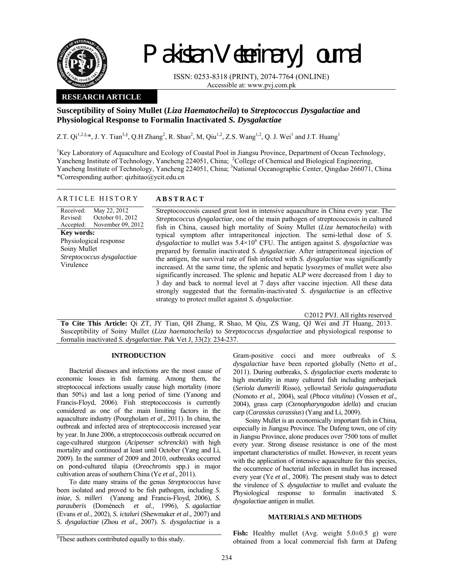

# Pakistan Veterinary Journal

ISSN: 0253-8318 (PRINT), 2074-7764 (ONLINE) Accessible at: www.pvj.com.pk

# **RESEARCH ARTICLE**

# **Susceptibility of Soiny Mullet (***Liza Haematocheila***) to** *Streptococcus Dysgalactiae* **and Physiological Response to Formalin Inactivated** *S. Dysgalactiae*

Z.T.  $Qi^{1,2,\S,\ast}$ , J. Y. Tian<sup>3,§</sup>, Q.H Zhang<sup>2</sup>, R. Shao<sup>2</sup>, M, Qiu<sup>1,2</sup>, Z.S. Wang<sup>1,2</sup>, Q. J. Wei<sup>1</sup> and J.T. Huang<sup>1</sup>

<sup>1</sup>Key Laboratory of Aquaculture and Ecology of Coastal Pool in Jiangsu Province, Department of Ocean Technology, Yancheng Institute of Technology, Yancheng 224051, China; <sup>2</sup>College of Chemical and Biological Engineering, Yancheng Institute of Technology, Yancheng 224051, China; <sup>3</sup>National Oceanographic Center, Qingdao 266071, China \*Corresponding author: qizhitao@ycit.edu.cn

### ARTICLE HISTORY **ABSTRACT**

Received: Revised: Accepted: May 22, 2012 October 01, 2012 November 09, 2012 **Key words:**  Physiological response Soiny Mullet *Streptococcus dysgalactiae*  Virulence

Streptococcosis caused great lost in intensive aquaculture in China every year. The *Streptococcus dysgalactiae*, one of the main pathogen of streptococcosis in cultured fish in China, caused high mortality of Soiny Mullet (*Liza hematocheila*) with typical symptom after intraperitoneal injection. The semi-lethal dose of *S. dysgalactiae* to mullet was 5.4×10<sup>6</sup> CFU. The antigen against *S. dysgalactiae* was prepared by formalin inactivated *S. dysgalactiae*. After intraperitoneal injection of the antigen, the survival rate of fish infected with *S. dysgalactiae* was significantly increased. At the same time, the splenic and hepatic lysozymes of mullet were also significantly increased. The splenic and hepatic ALP were decreased from 1 day to 3 day and back to normal level at 7 days after vaccine injection. All these data strongly suggested that the formalin-inactivated *S. dysgalactiae* is an effective strategy to protect mullet against *S. dysgalactiae*.

©2012 PVJ. All rights reserved

**To Cite This Article:** Qi ZT, JY Tian, QH Zhang, R Shao, M Qiu, ZS Wang, QJ Wei and JT Huang, 2013. Susceptibility of Soiny Mullet (*Liza haematocheila*) to *Streptococcus dysgalactiae* and physiological response to formalin inactivated *S. dysgalactiae*. Pak Vet J, 33(2): 234-237.

## **INTRODUCTION**

Bacterial diseases and infections are the most cause of economic losses in fish farming. Among them, the streptococcal infections usually cause high mortality (more than 50%) and last a long period of time (Yanong and Francis-Floyd, 2006). Fish streptococcosis is currently considered as one of the main limiting factors in the aquaculture industry (Pourgholam *et al*., 2011). In china, the outbreak and infected area of streptococcosis increased year by year. In June 2006, a streptococcosis outbreak occurred on cage-cultured sturgeon (*Acipenser schrenckii*) with high mortality and continued at least until October (Yang and Li, 2009). In the summer of 2009 and 2010, outbreaks occurred on pond-cultured tilapia (*Oreochromis* spp.) in major cultivation areas of southern China (Ye *et al*., 2011).

To date many strains of the genus *Streptococcus* have been isolated and proved to be fish pathogen, including *S. iniae*, *S. milleri* (Yanong and Francis-Floyd, 2006), *S. parauberis* (Doménech *et al*., 1996), *S. agalactiae* (Evans *et al*., 2002), *S. ictaluri* (Shewmaker *et al*., 2007) and *S. dysgalactiae* (Zhou *et al*., 2007). *S. dysgalactiae* is a

Gram-positive cocci and more outbreaks of *S. dysgalactiae* have been reported globally (Netto *et al*., 2011). During outbreaks, *S. dysgalactiae* exerts moderate to high mortality in many cultured fish including amberjack (*Seriola dumerili* Risso), yellowtail *Seriola quinqueradiata* (Nomoto *et al*., 2004), seal (*Phoca vitulina*) (Vossen *et al*., 2004), grass carp (*Ctenopharyngodon idella*) and crucian carp (*Carassius carassius*) (Yang and Li, 2009).

Soiny Mullet is an economically important fish in China, especially in Jiangsu Province. The Dafeng town, one of city in Jiangsu Province, alone produces over 7500 tons of mullet every year. Strong disease resistance is one of the most important characteristics of mullet. However, in recent years with the application of intensive aquaculture for this species, the occurrence of bacterial infection in mullet has increased every year (Ye *et al*., 2008). The present study was to detect the virulence of *S. dysgalactiae* to mullet and evaluate the Physiological response to formalin inactivated *S. dysgalactiae* antigen in mullet.

### **MATERIALS AND METHODS**

Fish: Healthy mullet (Avg. weight 5.0±0.5 g) were obtained from a local commercial fish farm at Dafeng

<sup>§</sup> These authors contributed equally to this study.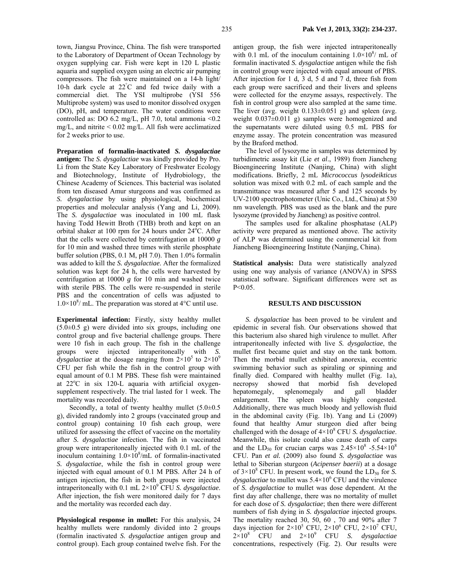town, Jiangsu Province, China. The fish were transported to the Laboratory of Department of Ocean Technology by oxygen supplying car. Fish were kept in 120 L plastic aquaria and supplied oxygen using an electric air pumping compressors. The fish were maintained on a 14-h light/ 10-h dark cycle at 22° C and fed twice daily with a commercial diet. The YSI multiprobe (YSI 556 Multiprobe system) was used to monitor dissolved oxygen (DO), pH, and temperature. The water conditions were controlled as: DO 6.2 mg/L, pH 7.0, total ammonia  $\leq 0.2$ mg/L, and nitrite  $\leq 0.02$  mg/L. All fish were acclimatized for 2 weeks prior to use.

**Preparation of formalin-inactivated** *S. dysgalactiae* **antigen:** The *S. dysgalactiae* was kindly provided by Pro. Li from the State Key Laboratory of Freshwater Ecology and Biotechnology, Institute of Hydrobiology, the Chinese Academy of Sciences. This bacterial was isolated from ten diseased Amur sturgeons and was confirmed as *S. dysgalactiae* by using physiological, biochemical properties and molecular analysis (Yang and Li, 2009). The *S. dysgalactiae* was inoculated in 100 mL flask having Todd Hewitt Broth (THB) broth and kept on an orbital shaker at 100 rpm for 24 hours under  $24^{\circ}$ C. After that the cells were collected by centrifugation at 10000 *g* for 10 min and washed three times with sterile phosphate buffer solution (PBS, 0.1 M, pH 7.0). Then 1.0% formalin was added to kill the *S. dysgalactiae*. After the formalized solution was kept for 24 h, the cells were harvested by centrifugation at 10000 *g* for 10 min and washed twice with sterile PBS. The cells were re-suspended in sterile PBS and the concentration of cells was adjusted to  $1.0 \times 10^8$ / mL. The preparation was stored at 4°C until use.

**Experimental infection:** Firstly, sixty healthy mullet  $(5.0\pm0.5)$  g) were divided into six groups, including one control group and five bacterial challenge groups. There were 10 fish in each group. The fish in the challenge groups were injected intraperitoneally with *S. dysgalactiae* at the dosage ranging from  $2 \times 10^5$  to  $2 \times 10^9$ CFU per fish while the fish in the control group with equal amount of 0.1 M PBS. These fish were maintained at 22°C in six 120-L aquaria with artificial oxygensupplement respectively. The trial lasted for 1 week. The mortality was recorded daily.

Secondly, a total of twenty healthy mullet  $(5.0\pm0.5$ g), divided randomly into 2 groups (vaccinated group and control group) containing 10 fish each group, were utilized for assessing the effect of vaccine on the mortality after *S. dysgalactiae* infection. The fish in vaccinated group were intraperitoneally injected with 0.1 mL of the inoculum containing  $1.0 \times 10^8$ /mL of formalin-inactivated *S. dysgalactiae*, while the fish in control group were injected with equal amount of 0.1 M PBS. After 24 h of antigen injection, the fish in both groups were injected intraperitoneally with 0.1 mL  $2 \times 10^9$  CFU *S. dysgalactiae*. After injection, the fish were monitored daily for 7 days and the mortality was recorded each day.

**Physiological response in mullet:** For this analysis, 24 healthy mullets were randomly divided into 2 groups (formalin inactivated *S. dysgalactiae* antigen group and control group). Each group contained twelve fish. For the antigen group, the fish were injected intraperitoneally with 0.1 mL of the inoculum containing  $1.0 \times 10^8$ / mL of formalin inactivated *S. dysgalactiae* antigen while the fish in control group were injected with equal amount of PBS. After injection for 1 d, 3 d, 5 d and 7 d, three fish from each group were sacrificed and their livers and spleens were collected for the enzyme assays, respectively. The fish in control group were also sampled at the same time. The liver (avg. weight  $0.133\pm0.051$  g) and spleen (avg. weight 0.037±0.011 g) samples were homogenized and the supernatants were diluted using 0.5 mL PBS for enzyme assay. The protein concentration was measured by the Braford method.

The level of lysozyme in samples was determined by turbidimetric assay kit (Lie *et al*., 1989) from Jiancheng Bioengineering Institute (Nanjing, China) with slight modifications. Briefly, 2 mL *Micrococcus lysodeikticus* solution was mixed with 0.2 mL of each sample and the transmittance was measured after 5 and 125 seconds by UV-2100 spectrophotometer (Unic Co., Ltd., China) at 530 nm wavelength. PBS was used as the blank and the pure lysozyme (provided by Jiancheng) as positive control.

The samples used for alkaline phosphatase (ALP) activity were prepared as mentioned above. The activity of ALP was determined using the commercial kit from Jiancheng Bioengineering Institute (Nanjing, China).

**Statistical analysis:** Data were statistically analyzed using one way analysis of variance (ANOVA) in SPSS statistical software. Significant differences were set as P<0.05.

### **RESULTS AND DISCUSSION**

*S. dysgalactiae* has been proved to be virulent and epidemic in several fish. Our observations showed that this bacterium also shared high virulence to mullet. After intraperitoneally infected with live *S. dysgalactiae*, the mullet first became quiet and stay on the tank bottom. Then the morbid mullet exhibited anorexia, eccentric swimming behavior such as spiraling or spinning and finally died. Compared with healthy mullet (Fig. 1a), necropsy showed that morbid fish developed<br>hepatomegaly, splenomegaly and gall bladder hepatomegaly, splenomegaly and gall bladder enlargement. The spleen was highly congested. Additionally, there was much bloody and yellowish fluid in the abdominal cavity (Fig. 1b). Yang and Li (2009) found that healthy Amur sturgeon died after being challenged with the dosage of  $4 \times 10^8$  CFU *S. dysgalactiae*. Meanwhile, this isolate could also cause death of carps and the LD<sub>50</sub> for crucian carps was  $2.45 \times 10^8$  -5.54 $\times 10^8$ CFU. Pan *et al.* (2009) also found *S. dysgalactiae* was lethal to Siberian sturgeon (*Acipenser baerii*) at a dosage of  $3 \times 10^8$  CFU. In present work, we found the  $LD_{50}$  for *S*. *dysgalactiae* to mullet was 5.4×10<sup>6</sup> CFU and the virulence of *S. dysgalactiae* to mullet was dose dependent. At the first day after challenge, there was no mortality of mullet for each dose of *S. dysgalactiae*; then there were different numbers of fish dying in *S. dysgalactiae* injected groups. The mortality reached 30, 50, 60 , 70 and 90% after 7 days injection for  $2\times10^5$  CFU,  $2\times10^6$  CFU,  $2\times10^7$  CFU,  $2\times10^8$  CFU and  $2\times10^9$  CFU *S. dysgalactiae* concentrations, respectively (Fig. 2). Our results were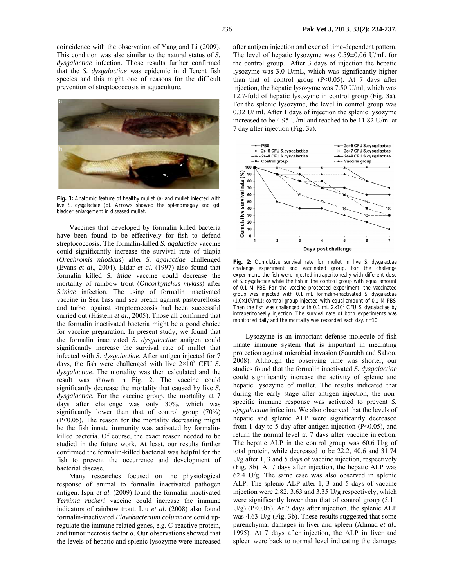coincidence with the observation of Yang and Li (2009). This condition was also similar to the natural status of *S. dysgalactiae* infection. Those results further confirmed that the *S. dysgalactiae* was epidemic in different fish species and this might one of reasons for the difficult prevention of streptococcosis in aquaculture.



**Fig. 1:** Anatomic feature of healthy mullet (a) and mullet infected with live *S. dysgalactiae* (b). Arrows showed the splenomegaly and gall bladder enlargement in diseased mullet.

Vaccines that developed by formalin killed bacteria have been found to be effectively for fish to defend streptococcosis. The formalin-killed *S. agalactiae* vaccine could significantly increase the survival rate of tilapia (*Orechromis niloticus*) after *S. agalactiae* challenged (Evans *et al*., 2004). Eldar *et al.* (1997) also found that formalin killed *S. iniae* vaccine could decrease the mortality of rainbow trout (*Oncorhynchus mykiss*) after *S.iniae* infection. The using of formalin inactivated vaccine in Sea bass and sea bream against pasteurellosis and turbot against streptococcosis had been successful carried out (Håstein *et al*., 2005). Those all confirmed that the formalin inactivated bacteria might be a good choice for vaccine preparation. In present study, we found that the formalin inactivated *S. dysgalactiae* antigen could significantly increase the survival rate of mullet that infected with *S. dysgalactiae*. After antigen injected for 7 days, the fish were challenged with live  $2 \times 10^8$  CFU *S*. *dysgalactiae*. The mortality was then calculated and the result was shown in Fig. 2. The vaccine could significantly decrease the mortality that caused by live *S. dysgalactiae.* For the vaccine group, the mortality at 7 days after challenge was only 30%, which was significantly lower than that of control group (70%) (P<0.05). The reason for the mortality decreasing might be the fish innate immunity was activated by formalinkilled bacteria. Of course, the exact reason needed to be studied in the future work. At least, our results further confirmed the formalin-killed bacterial was helpful for the fish to prevent the occurrence and development of bacterial disease.

Many researches focused on the physiological response of animal to formalin inactivated pathogen antigen. Ispir *et al.* (2009) found the formalin inactivated *Yersinia ruckeri* vaccine could increase the immune indicators of rainbow trout. Liu *et al.* (2008) also found formalin-inactivated *Flavobacterium columnare* could upregulate the immune related genes, e.g. C-reactive protein, and tumor necrosis factor α. Our observations showed that the levels of hepatic and splenic lysozyme were increased

after antigen injection and exerted time-dependent pattern. The level of hepatic lysozyme was 0.59±0.06 U/mL for the control group. After 3 days of injection the hepatic lysozyme was 3.0 U/mL, which was significantly higher than that of control group  $(P<0.05)$ . At 7 days after injection, the hepatic lysozyme was 7.50 U/ml, which was 12.7-fold of hepatic lysozyme in control group (Fig. 3a). For the splenic lysozyme, the level in control group was 0.32 U/ ml. After 1 days of injection the splenic lysozyme increased to be 4.95 U/ml and reached to be 11.82 U/ml at 7 day after injection (Fig. 3a).



**Fig. 2:** Cumulative survival rate for mullet in live *S. dysgalactiae* challenge experiment and vaccinated group. For the challenge experiment, the fish were injected intraperitoneally with different dose of *S. dysgalactiae* while the fish in the control group with equal amount of 0.1 M PBS. For the vaccine protected experiment, the vaccinated group was injected with 0.1 mL formalin-inactivated *S. dysgalactiae*  (1.0×108 /mL); control group injected with equal amount of 0.1 M PBS. Then the fish was challenged with 0.1 mL 2×109 CFU *S. dysgalactiae* by intraperitoneally injection. The survival rate of both experiments was monitored daily and the mortality was recorded each day. n=10.

Lysozyme is an important defense molecule of fish innate immune system that is important in mediating protection against microbial invasion (Saurabh and Sahoo, 2008). Although the observing time was shorter, our studies found that the formalin inactivated *S. dysgalactiae* could significantly increase the activity of splenic and hepatic lysozyme of mullet. The results indicated that during the early stage after antigen injection, the nonspecific immune response was activated to prevent *S. dysgalactiae* infection. We also observed that the levels of hepatic and splenic ALP were significantly decreased from 1 day to 5 day after antigen injection  $(P<0.05)$ , and return the normal level at 7 days after vaccine injection. The hepatic ALP in the control group was 60.6 U/g of total protein, while decreased to be 22.2, 40.6 and 31.74 U/g after 1, 3 and 5 days of vaccine injection, respectively (Fig. 3b). At 7 days after injection, the hepatic ALP was  $62.4$  U/g. The same case was also observed in splenic ALP. The splenic ALP after 1, 3 and 5 days of vaccine injection were 2.82, 3.63 and 3.35 U/g respectively, which were significantly lower than that of control group (5.11 U/g) (P<0.05). At 7 days after injection, the splenic ALP was 4.63 U/g (Fig. 3b). These results suggested that some parenchymal damages in liver and spleen (Ahmad *et al*., 1995). At 7 days after injection, the ALP in liver and spleen were back to normal level indicating the damages